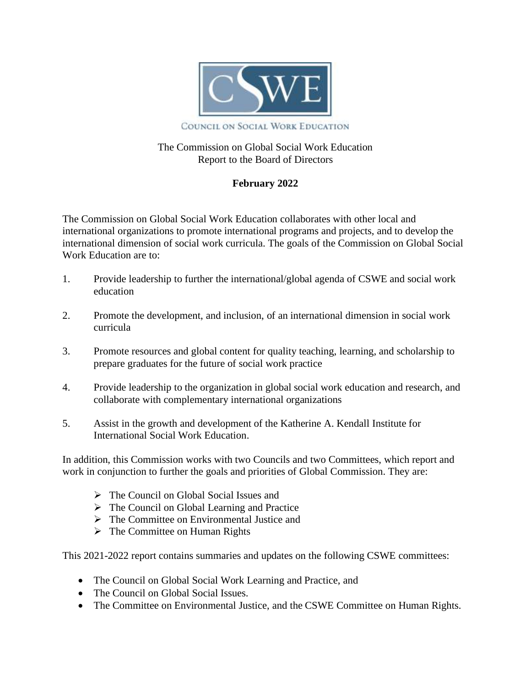

# The Commission on Global Social Work Education Report to the Board of Directors

# **February 2022**

The Commission on Global Social Work Education collaborates with other local and international organizations to promote international programs and projects, and to develop the international dimension of social work curricula. The goals of the Commission on Global Social Work Education are to:

- 1. Provide leadership to further the international/global agenda of CSWE and social work education
- 2. Promote the development, and inclusion, of an international dimension in social work curricula
- 3. Promote resources and global content for quality teaching, learning, and scholarship to prepare graduates for the future of social work practice
- 4. Provide leadership to the organization in global social work education and research, and collaborate with complementary international organizations
- 5. Assist in the growth and development of the Katherine A. Kendall Institute for International Social Work Education.

In addition, this Commission works with two Councils and two Committees, which report and work in conjunction to further the goals and priorities of Global Commission. They are:

- ➢ The [Council](https://cswe.org/About-CSWE/Governance/Commissions-and-Councils/Council-on-Global-Social-Issues.aspx) on Global Social Issues and
- ➢ The Council on Global [Learning](https://cswe.org/About-CSWE/Governance/Commissions-and-Councils/Council-on-Global-Learning-and-Practice.aspx) and Practice
- ➢ The Committee on [Environmental](https://cswe.org/About-CSWE/Governance/Commissions-and-Councils/Commission-on-Global-Social-Work-Education/Committee-on-Environmental-Justice) Justice and
- $\triangleright$  The [Committee](https://www.cswe.org/About-CSWE/Governance/Commissions-and-Councils/Commission-on-Global-Social-Work-Education/Committee-on-Human-Rights) on Human Rights

This 2021-2022 report contains summaries and updates on the following CSWE committees:

- The Council on Global Social Work Learning and Practice, and
- The Council on Global Social Issues.
- The Committee on Environmental Justice, and the CSWE Committee on Human Rights.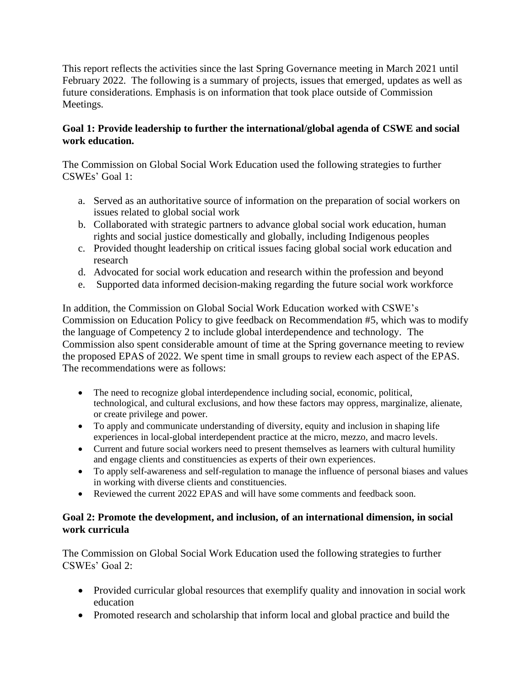This report reflects the activities since the last Spring Governance meeting in March 2021 until February 2022. The following is a summary of projects, issues that emerged, updates as well as future considerations. Emphasis is on information that took place outside of Commission Meetings.

# **Goal 1: Provide leadership to further the international/global agenda of CSWE and social work education.**

The Commission on Global Social Work Education used the following strategies to further CSWEs' Goal 1:

- a. Served as an authoritative source of information on the preparation of social workers on issues related to global social work
- b. Collaborated with strategic partners to advance global social work education, human rights and social justice domestically and globally, including Indigenous peoples
- c. Provided thought leadership on critical issues facing global social work education and research
- d. Advocated for social work education and research within the profession and beyond
- e. Supported data informed decision-making regarding the future social work workforce

In addition, the Commission on Global Social Work Education worked with CSWE's Commission on Education Policy to give feedback on Recommendation #5, which was to modify the language of Competency 2 to include global interdependence and technology. The Commission also spent considerable amount of time at the Spring governance meeting to review the proposed EPAS of 2022. We spent time in small groups to review each aspect of the EPAS. The recommendations were as follows:

- The need to recognize global interdependence including social, economic, political, technological, and cultural exclusions, and how these factors may oppress, marginalize, alienate, or create privilege and power.
- To apply and communicate understanding of diversity, equity and inclusion in shaping life experiences in local-global interdependent practice at the micro, mezzo, and macro levels.
- Current and future social workers need to present themselves as learners with cultural humility and engage clients and constituencies as experts of their own experiences.
- To apply self-awareness and self-regulation to manage the influence of personal biases and values in working with diverse clients and constituencies.
- Reviewed the current 2022 EPAS and will have some comments and feedback soon.

# **Goal 2: Promote the development, and inclusion, of an international dimension, in social work curricula**

The Commission on Global Social Work Education used the following strategies to further CSWEs' Goal 2:

- Provided curricular global resources that exemplify quality and innovation in social work education
- Promoted research and scholarship that inform local and global practice and build the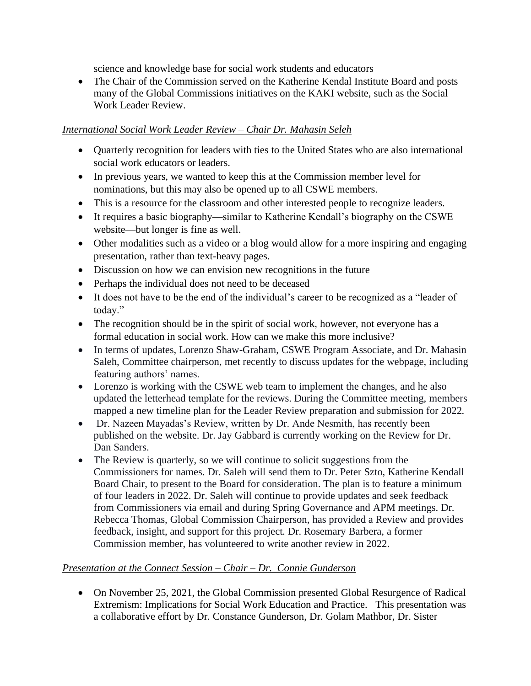science and knowledge base for social work students and educators

• The Chair of the Commission served on the Katherine Kendal Institute Board and posts many of the Global Commissions initiatives on the KAKI website, such as the Social Work Leader Review.

# *International Social Work Leader Review – Chair Dr. Mahasin Seleh*

- Quarterly recognition for leaders with ties to the United States who are also international social work educators or leaders.
- In previous years, we wanted to keep this at the Commission member level for nominations, but this may also be opened up to all CSWE members.
- This is a resource for the classroom and other interested people to recognize leaders.
- It requires a basic biography—similar to Katherine Kendall's biography on the CSWE website—but longer is fine as well.
- Other modalities such as a video or a blog would allow for a more inspiring and engaging presentation, rather than text-heavy pages.
- Discussion on how we can envision new recognitions in the future
- Perhaps the individual does not need to be deceased
- It does not have to be the end of the individual's career to be recognized as a "leader of today."
- The recognition should be in the spirit of social work, however, not everyone has a formal education in social work. How can we make this more inclusive?
- In terms of updates, Lorenzo Shaw-Graham, CSWE Program Associate, and Dr. Mahasin Saleh, Committee chairperson, met recently to discuss updates for the webpage, including featuring authors' names.
- Lorenzo is working with the CSWE web team to implement the changes, and he also updated the letterhead template for the reviews. During the Committee meeting, members mapped a new timeline plan for the Leader Review preparation and submission for 2022.
- Dr. Nazeen Mayadas's Review, written by Dr. Ande Nesmith, has recently been published on the website. Dr. Jay Gabbard is currently working on the Review for Dr. Dan Sanders.
- The Review is quarterly, so we will continue to solicit suggestions from the Commissioners for names. Dr. Saleh will send them to Dr. Peter Szto, Katherine Kendall Board Chair, to present to the Board for consideration. The plan is to feature a minimum of four leaders in 2022. Dr. Saleh will continue to provide updates and seek feedback from Commissioners via email and during Spring Governance and APM meetings. Dr. Rebecca Thomas, Global Commission Chairperson, has provided a Review and provides feedback, insight, and support for this project. Dr. Rosemary Barbera, a former Commission member, has volunteered to write another review in 2022.

# *Presentation at the Connect Session – Chair – Dr. Connie Gunderson*

• On November 25, 2021, the Global Commission presented Global Resurgence of Radical Extremism: Implications for Social Work Education and Practice. This presentation was a collaborative effort by Dr. Constance Gunderson, Dr. Golam Mathbor, Dr. Sister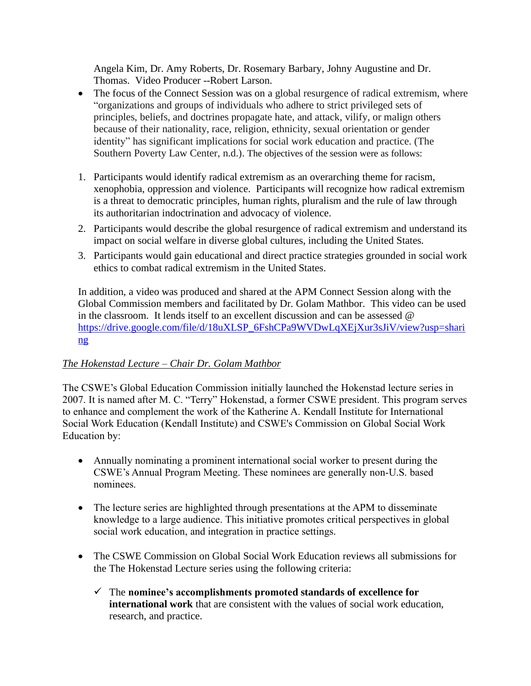Angela Kim, Dr. Amy Roberts, Dr. Rosemary Barbary, Johny Augustine and Dr. Thomas. Video Producer --Robert Larson.

- The focus of the Connect Session was on a global resurgence of radical extremism, where "organizations and groups of individuals who adhere to strict privileged sets of principles, beliefs, and doctrines propagate hate, and attack, vilify, or malign others because of their nationality, race, religion, ethnicity, sexual orientation or gender identity" has significant implications for social work education and practice. (The Southern Poverty Law Center, n.d.). The objectives of the session were as follows:
- 1. Participants would identify radical extremism as an overarching theme for racism, xenophobia, oppression and violence. Participants will recognize how radical extremism is a threat to democratic principles, human rights, pluralism and the rule of law through its authoritarian indoctrination and advocacy of violence.
- 2. Participants would describe the global resurgence of radical extremism and understand its impact on social welfare in diverse global cultures, including the United States.
- 3. Participants would gain educational and direct practice strategies grounded in social work ethics to combat radical extremism in the United States.

In addition, a video was produced and shared at the APM Connect Session along with the Global Commission members and facilitated by Dr. Golam Mathbor. This video can be used in the classroom. It lends itself to an excellent discussion and can be assessed  $\omega$ [https://drive.google.com/file/d/18uXLSP\\_6FshCPa9WVDwLqXEjXur3sJiV/view?usp=shari](https://nam10.safelinks.protection.outlook.com/?url=https%3A%2F%2Flinkprotect.cudasvc.com%2Furl%3Fa%3Dhttps%253a%252f%252fdrive.google.com%252ffile%252fd%252f18uXLSP_6FshCPa9WVDwLqXEjXur3sJiV%252fview%253fusp%253dsharing%26c%3DE%2C1%2Cfu5e-lH9snbycX4gbDjXjHN-sW_ca47BtKS2zZ5fQntGCnLwvwMpP3t1xub3d1hZPOpkSkefkK69unjMoMpHkOgpxD0xiqu0KlJGDd3IN58R%26typo%3D1&data=04%7C01%7C%7Cb3726237a72a40c5ffe108d9957c5760%7C17f1a87e2a254eaab9df9d439034b080%7C0%7C0%7C637705183582750949%7CUnknown%7CTWFpbGZsb3d8eyJWIjoiMC4wLjAwMDAiLCJQIjoiV2luMzIiLCJBTiI6Ik1haWwiLCJXVCI6Mn0%3D%7C1000&sdata=jLM3DOjjOinz33Aeu7N3DFhf5LouSOH9IX%2BrbUR6P%2FM%3D&reserved=0) [ng](https://nam10.safelinks.protection.outlook.com/?url=https%3A%2F%2Flinkprotect.cudasvc.com%2Furl%3Fa%3Dhttps%253a%252f%252fdrive.google.com%252ffile%252fd%252f18uXLSP_6FshCPa9WVDwLqXEjXur3sJiV%252fview%253fusp%253dsharing%26c%3DE%2C1%2Cfu5e-lH9snbycX4gbDjXjHN-sW_ca47BtKS2zZ5fQntGCnLwvwMpP3t1xub3d1hZPOpkSkefkK69unjMoMpHkOgpxD0xiqu0KlJGDd3IN58R%26typo%3D1&data=04%7C01%7C%7Cb3726237a72a40c5ffe108d9957c5760%7C17f1a87e2a254eaab9df9d439034b080%7C0%7C0%7C637705183582750949%7CUnknown%7CTWFpbGZsb3d8eyJWIjoiMC4wLjAwMDAiLCJQIjoiV2luMzIiLCJBTiI6Ik1haWwiLCJXVCI6Mn0%3D%7C1000&sdata=jLM3DOjjOinz33Aeu7N3DFhf5LouSOH9IX%2BrbUR6P%2FM%3D&reserved=0)

## *The Hokenstad Lecture – Chair Dr. Golam Mathbor*

The CSWE's Global Education Commission initially launched the Hokenstad lecture series in 2007. It is named after M. C. "Terry" Hokenstad, a former CSWE president. This program serves to enhance and complement the work of the Katherine A. Kendall Institute for International Social Work Education (Kendall Institute) and CSWE's Commission on Global Social Work Education by:

- Annually nominating a prominent international social worker to present during the CSWE's Annual Program Meeting. These nominees are generally non-U.S. based nominees.
- The lecture series are highlighted through presentations at the APM to disseminate knowledge to a large audience. This initiative promotes critical perspectives in global social work education, and integration in practice settings.
- The CSWE Commission on Global Social Work Education reviews all submissions for the The Hokenstad Lecture series using the following criteria:
	- ✓ The **nominee's accomplishments promoted standards of excellence for international work** that are consistent with the values of social work education, research, and practice.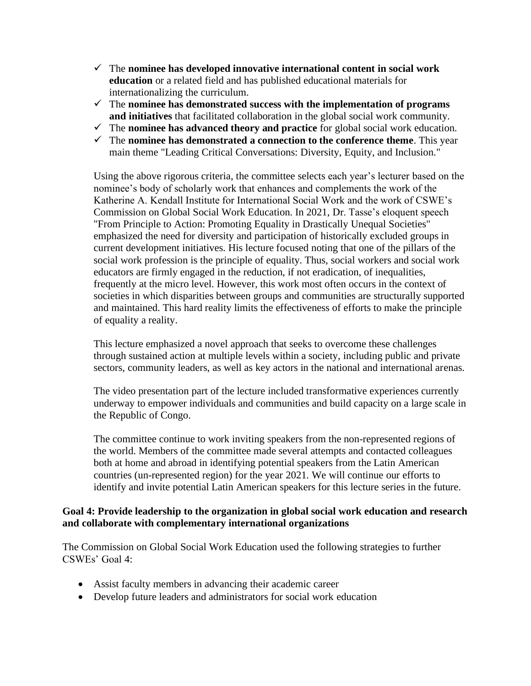- ✓ The **nominee has developed innovative international content in social work education** or a related field and has published educational materials for internationalizing the curriculum.
- ✓ The **nominee has demonstrated success with the implementation of programs and initiatives** that facilitated collaboration in the global social work community.
- ✓ The **nominee has advanced theory and practice** for global social work education.
- ✓ The **nominee has demonstrated a connection to the conference theme**. This year main theme "Leading Critical Conversations: Diversity, Equity, and Inclusion."

Using the above rigorous criteria, the committee selects each year's lecturer based on the nominee's body of scholarly work that enhances and complements the work of the Katherine A. Kendall Institute for International Social Work and the work of CSWE's Commission on Global Social Work Education. In 2021, Dr. Tasse's eloquent speech "From Principle to Action: Promoting Equality in Drastically Unequal Societies" emphasized the need for diversity and participation of historically excluded groups in current development initiatives. His lecture focused noting that one of the pillars of the social work profession is the principle of equality. Thus, social workers and social work educators are firmly engaged in the reduction, if not eradication, of inequalities, frequently at the micro level. However, this work most often occurs in the context of societies in which disparities between groups and communities are structurally supported and maintained. This hard reality limits the effectiveness of efforts to make the principle of equality a reality.

This lecture emphasized a novel approach that seeks to overcome these challenges through sustained action at multiple levels within a society, including public and private sectors, community leaders, as well as key actors in the national and international arenas.

The video presentation part of the lecture included transformative experiences currently underway to empower individuals and communities and build capacity on a large scale in the Republic of Congo.

The committee continue to work inviting speakers from the non-represented regions of the world. Members of the committee made several attempts and contacted colleagues both at home and abroad in identifying potential speakers from the Latin American countries (un-represented region) for the year 2021. We will continue our efforts to identify and invite potential Latin American speakers for this lecture series in the future.

#### **Goal 4: Provide leadership to the organization in global social work education and research and collaborate with complementary international organizations**

The Commission on Global Social Work Education used the following strategies to further CSWEs' Goal 4:

- Assist faculty members in advancing their academic career
- Develop future leaders and administrators for social work education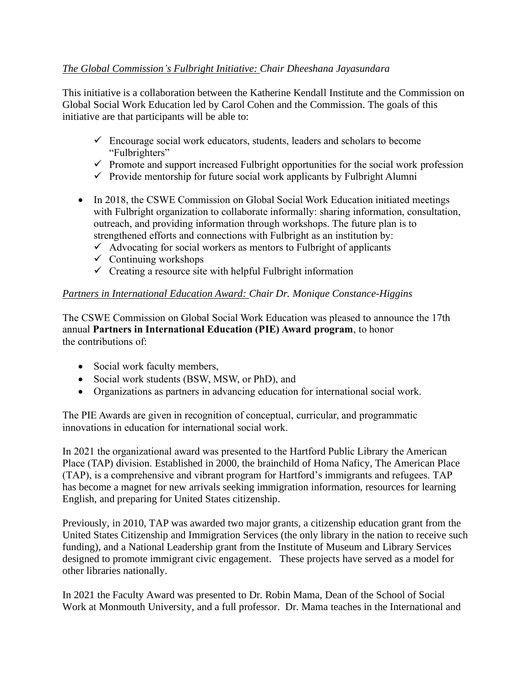# *The Global Commission's Fulbright Initiative: Chair Dheeshana Jayasundara*

This initiative is a collaboration between the Katherine Kendall Institute and the Commission on Global Social Work Education led by Carol Cohen and the Commission. The goals of this initiative are that participants will be able to:

- $\checkmark$  Encourage social work educators, students, leaders and scholars to become "Fulbrighters"
- $\checkmark$  Promote and support increased Fulbright opportunities for the social work profession
- $\checkmark$  Provide mentorship for future social work applicants by Fulbright Alumni
- In 2018, the CSWE Commission on Global Social Work Education initiated meetings with Fulbright organization to collaborate informally: sharing information, consultation, outreach, and providing information through workshops. The future plan is to strengthened efforts and connections with Fulbright as an institution by:
	- $\checkmark$  Advocating for social workers as mentors to Fulbright of applicants
	- $\checkmark$  Continuing workshops
	- $\checkmark$  Creating a resource site with helpful Fulbright information

## *Partners in International Education Award: Chair Dr. Monique Constance-Higgins*

The [CSWE Commission on Global Social Work Education](https://www.cswe.org/About-CSWE/Governance/Commissions-and-Councils/Commission-on-Global-Social-Work-Education.aspx) was pleased to announce the 17th annual **Partners in International Education (PIE) Award program**, to honor the contributions of:

- Social work faculty members,
- Social work students (BSW, MSW, or PhD), and
- Organizations as partners in advancing education for international social work.

The PIE Awards are given in recognition of conceptual, curricular, and programmatic innovations in education for international social work.

In 2021 the organizational award was presented to the Hartford Public Library the American Place (TAP) division. Established in 2000, the brainchild of Homa Naficy, The American Place (TAP), is a comprehensive and vibrant program for Hartford's immigrants and refugees. TAP has become a magnet for new arrivals seeking immigration information, resources for learning English, and preparing for United States citizenship.

Previously, in 2010, TAP was awarded two major grants, a citizenship education grant from the United States Citizenship and Immigration Services (the only library in the nation to receive such funding), and a National Leadership grant from the Institute of Museum and Library Services designed to promote immigrant civic engagement. These projects have served as a model for other libraries nationally.

In 2021 the Faculty Award was presented to Dr. Robin Mama, Dean of the School of Social Work at Monmouth University, and a full professor. Dr. Mama teaches in the International and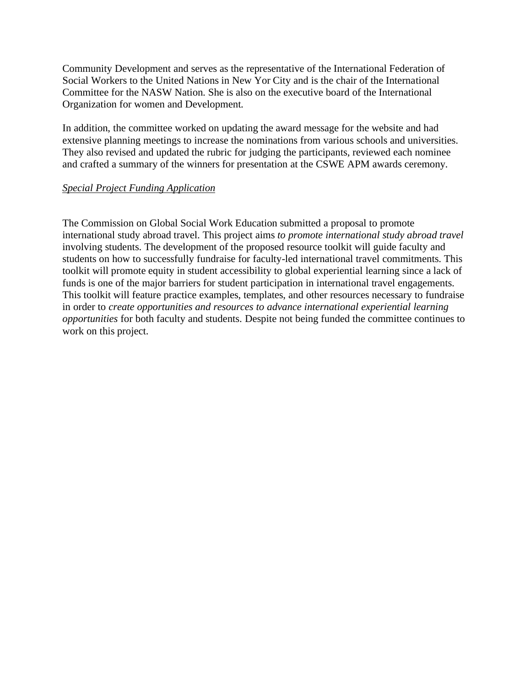Community Development and serves as the representative of the International Federation of Social Workers to the United Nations in New Yor City and is the chair of the International Committee for the NASW Nation. She is also on the executive board of the International Organization for women and Development.

In addition, the committee worked on updating the award message for the website and had extensive planning meetings to increase the nominations from various schools and universities. They also revised and updated the rubric for judging the participants, reviewed each nominee and crafted a summary of the winners for presentation at the CSWE APM awards ceremony.

#### *Special Project Funding Application*

The Commission on Global Social Work Education submitted a proposal to promote international study abroad travel. This project aims *to promote international study abroad travel* involving students. The development of the proposed resource toolkit will guide faculty and students on how to successfully fundraise for faculty-led international travel commitments. This toolkit will promote equity in student accessibility to global experiential learning since a lack of funds is one of the major barriers for student participation in international travel engagements. This toolkit will feature practice examples, templates, and other resources necessary to fundraise in order to *create opportunities and resources to advance international experiential learning opportunities* for both faculty and students. Despite not being funded the committee continues to work on this project.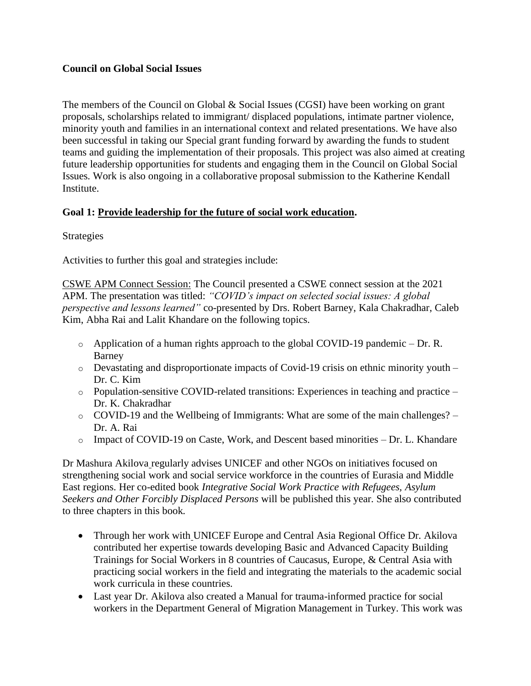## **Council on Global Social Issues**

The members of the Council on Global & Social Issues (CGSI) have been working on grant proposals, scholarships related to immigrant/ displaced populations, intimate partner violence, minority youth and families in an international context and related presentations. We have also been successful in taking our Special grant funding forward by awarding the funds to student teams and guiding the implementation of their proposals. This project was also aimed at creating future leadership opportunities for students and engaging them in the Council on Global Social Issues. Work is also ongoing in a collaborative proposal submission to the Katherine Kendall Institute.

# **Goal 1: [Provide leadership for the future of social work education.](https://www.cswe.org/About-CSWE/2020-Strategic-Plan#Goal1)**

Strategies

Activities to further this goal and strategies include:

CSWE APM Connect Session: The Council presented a CSWE connect session at the 2021 APM. The presentation was titled: *"COVID's impact on selected social issues: A global perspective and lessons learned"* co-presented by Drs. Robert Barney, Kala Chakradhar, Caleb Kim, Abha Rai and Lalit Khandare on the following topics.

- $\circ$  Application of a human rights approach to the global COVID-19 pandemic Dr. R. Barney
- $\circ$  Devastating and disproportionate impacts of Covid-19 crisis on ethnic minority youth Dr. C. Kim
- $\circ$  Population-sensitive COVID-related transitions: Experiences in teaching and practice Dr. K. Chakradhar
- o COVID-19 and the Wellbeing of Immigrants: What are some of the main challenges? Dr. A. Rai
- $\circ$  Impact of COVID-19 on Caste, Work, and Descent based minorities Dr. L. Khandare

Dr Mashura Akilova regularly advises UNICEF and other NGOs on initiatives focused on strengthening social work and social service workforce in the countries of Eurasia and Middle East regions. Her co-edited book *Integrative Social Work Practice with Refugees, Asylum Seekers and Other Forcibly Displaced Persons* will be published this year. She also contributed to three chapters in this book.

- Through her work with UNICEF Europe and Central Asia Regional Office Dr. Akilova contributed her expertise towards developing Basic and Advanced Capacity Building Trainings for Social Workers in 8 countries of Caucasus, Europe, & Central Asia with practicing social workers in the field and integrating the materials to the academic social work curricula in these countries.
- Last year Dr. Akilova also created a Manual for trauma-informed practice for social workers in the Department General of Migration Management in Turkey. This work was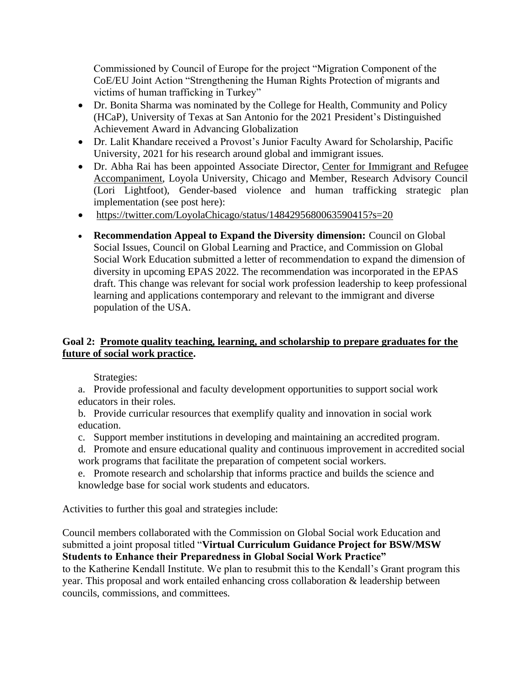Commissioned by Council of Europe for the project "Migration Component of the CoE/EU Joint Action "Strengthening the Human Rights Protection of migrants and victims of human trafficking in Turkey"

- Dr. Bonita Sharma was nominated by the College for Health, Community and Policy (HCaP), University of Texas at San Antonio for the 2021 President's Distinguished Achievement Award in Advancing Globalization
- Dr. Lalit Khandare received a Provost's Junior Faculty Award for Scholarship, Pacific University, 2021 for his research around global and immigrant issues.
- Dr. Abha Rai has been appointed Associate Director, Center for Immigrant and Refugee [Accompaniment,](https://www.luc.edu/cira/) Loyola University, Chicago and Member, Research Advisory Council (Lori Lightfoot), Gender-based violence and human trafficking strategic plan implementation (see post here):
- <https://twitter.com/LoyolaChicago/status/1484295680063590415?s=20>
- **Recommendation Appeal to Expand the Diversity dimension:** Council on Global Social Issues, Council on Global Learning and Practice, and Commission on Global Social Work Education submitted a letter of recommendation to expand the dimension of diversity in upcoming EPAS 2022. The recommendation was incorporated in the EPAS draft. This change was relevant for social work profession leadership to keep professional learning and applications contemporary and relevant to the immigrant and diverse population of the USA.

# **Goal 2: [Promote quality teaching, learning, and scholarship to prepare graduates for the](https://www.cswe.org/About-CSWE/2020-Strategic-Plan#Goal2)  [future of social work practice.](https://www.cswe.org/About-CSWE/2020-Strategic-Plan#Goal2)**

Strategies:

a. Provide professional and faculty development opportunities to support social work educators in their roles.

b. Provide curricular resources that exemplify quality and innovation in social work education.

- c. Support member institutions in developing and maintaining an accredited program.
- d. Promote and ensure educational quality and continuous improvement in accredited social work programs that facilitate the preparation of competent social workers.
- e. Promote research and scholarship that informs practice and builds the science and knowledge base for social work students and educators.

Activities to further this goal and strategies include:

Council members collaborated with the Commission on Global Social work Education and submitted a joint proposal titled "**Virtual Curriculum Guidance Project for BSW/MSW Students to Enhance their Preparedness in Global Social Work Practice"**

to the Katherine Kendall Institute. We plan to resubmit this to the Kendall's Grant program this year. This proposal and work entailed enhancing cross collaboration & leadership between councils, commissions, and committees.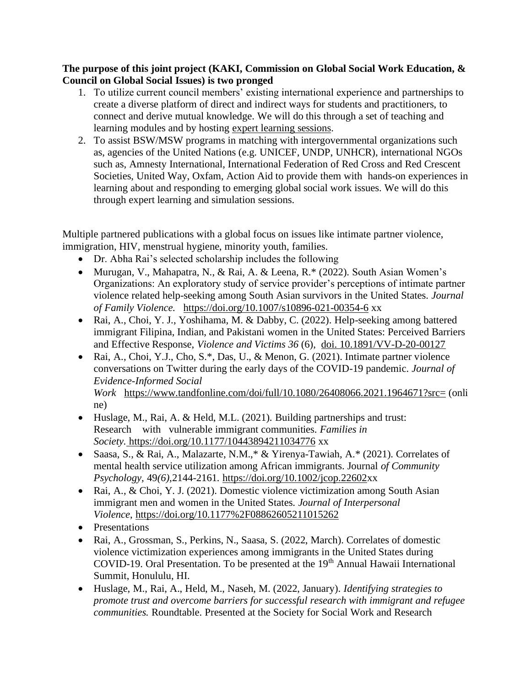## **The purpose of this joint project (KAKI, Commission on Global Social Work Education, & Council on Global Social Issues) is two pronged**

- 1. To utilize current council members' existing international experience and partnerships to create a diverse platform of direct and indirect ways for students and practitioners, to connect and derive mutual knowledge. We will do this through a set of teaching and learning modules and by hosting expert learning sessions.
- 2. To assist BSW/MSW programs in matching with intergovernmental organizations such as, agencies of the United Nations (e.g. UNICEF, UNDP, UNHCR), international NGOs such as, Amnesty International, International Federation of Red Cross and Red Crescent Societies, United Way, Oxfam, Action Aid to provide them with hands-on experiences in learning about and responding to emerging global social work issues. We will do this through expert learning and simulation sessions.

Multiple partnered publications with a global focus on issues like intimate partner violence, immigration, HIV, menstrual hygiene, minority youth, families.

- Dr. Abha Rai's selected scholarship includes the following
- Murugan, V., Mahapatra, N., & Rai, A. & Leena, R.\* (2022). South Asian Women's Organizations: An exploratory study of service provider's perceptions of intimate partner violence related help-seeking among South Asian survivors in the United States. *Journal of Family Violence.* [https://doi.org/10.1007/s10896-021-00354-6](https://link.springer.com/article/10.1007/s10896-021-00354-6#citeas) xx
- Rai, A., Choi, Y. J., Yoshihama, M. & Dabby, C. (2022). Help-seeking among battered immigrant Filipina, Indian, and Pakistani women in the United States: Perceived Barriers and Effective Response, *Violence and Victims 36* (6), [doi. 10.1891/VV-D-20-00127](https://connect.springerpub.com/content/sgrvv/36/6/823.abstract)
- Rai, A., Choi, Y.J., Cho, S.\*, Das, U., & Menon, G. (2021). Intimate partner violence conversations on Twitter during the early days of the COVID-19 pandemic. *Journal of Evidence-Informed Social Work* <https://www.tandfonline.com/doi/full/10.1080/26408066.2021.1964671?src=> (onli ne)
- Huslage, M., Rai, A. & Held, M.L. (2021). Building partnerships and trust: Research with vulnerable immigrant communities. *Families in Society.* <https://doi.org/10.1177/10443894211034776> xx
- Saasa, S., & Rai, A., Malazarte, N.M., \* & Yirenya-Tawiah, A. \* (2021). Correlates of mental health service utilization among African immigrants. Journal *of Community Psychology,* 49*(6),*2144-2161*.* [https://doi.org/10.1002/jcop.22602x](https://doi.org/10.1002/jcop.22602)x
- Rai, A., & Choi, Y. J. (2021). Domestic violence victimization among South Asian immigrant men and women in the United States. *Journal of Interpersonal Violence*, [https://doi.org/10.1177%2F08862605211015262](https://journals.sagepub.com/doi/10.1177/08862605211015262)
- Presentations
- Rai, A., Grossman, S., Perkins, N., Saasa, S. (2022, March). Correlates of domestic violence victimization experiences among immigrants in the United States during COVID-19. Oral Presentation. To be presented at the 19<sup>th</sup> Annual Hawaii International Summit, Honululu, HI.
- Huslage, M., Rai, A., Held, M., Naseh, M. (2022, January). *Identifying strategies to promote trust and overcome barriers for successful research with immigrant and refugee communities.* Roundtable. Presented at the Society for Social Work and Research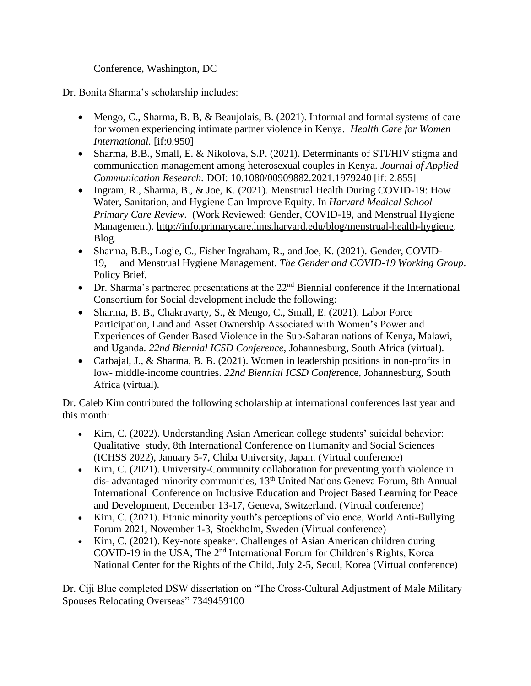# Conference, Washington, DC

Dr. Bonita Sharma's scholarship includes:

- Mengo, C., Sharma, B. B, & Beaujolais, B. (2021). Informal and formal systems of care for women experiencing intimate partner violence in Kenya. *Health Care for Women International.* [if:0.950]
- Sharma, B.B., Small, E. & Nikolova, S.P. (2021). Determinants of STI/HIV stigma and communication management among heterosexual couples in Kenya. *Journal of Applied Communication Research.* DOI: 10.1080/00909882.2021.1979240 [if: 2.855]
- Ingram, R., Sharma, B., & Joe, K. (2021). Menstrual Health During COVID-19: How Water, Sanitation, and Hygiene Can Improve Equity. In *Harvard Medical School Primary Care Review*. (Work Reviewed: Gender, COVID-19, and Menstrual Hygiene Management). [http://info.primarycare.hms.harvard.edu/blog/menstrual-health-hygiene.](http://info.primarycare.hms.harvard.edu/blog/menstrual-health-hygiene) Blog.
- Sharma, B.B., Logie, C., Fisher Ingraham, R., and Joe, K. (2021). Gender, COVID-19, and Menstrual Hygiene Management. *The Gender and COVID-19 Working Group*. Policy Brief.
- Dr. Sharma's partnered presentations at the  $22<sup>nd</sup>$  Biennial conference if the International Consortium for Social development include the following:
- Sharma, B. B., Chakravarty, S., & Mengo, C., Small, E. (2021). Labor Force Participation, Land and Asset Ownership Associated with Women's Power and Experiences of Gender Based Violence in the Sub-Saharan nations of Kenya, Malawi, and Uganda. *22nd Biennial ICSD Conference,* Johannesburg, South Africa (virtual).
- Carbajal, J., & Sharma, B. B. (2021). Women in leadership positions in non-profits in low- middle-income countries. *22nd Biennial ICSD Confe*rence, Johannesburg, South Africa (virtual).

Dr. Caleb Kim contributed the following scholarship at international conferences last year and this month:

- Kim, C. (2022). Understanding Asian American college students' suicidal behavior: Qualitative study, 8th International Conference on Humanity and Social Sciences (ICHSS 2022), January 5-7, Chiba University, Japan. (Virtual conference)
- Kim, C. (2021). University-Community collaboration for preventing youth violence in dis- advantaged minority communities, 13<sup>th</sup> United Nations Geneva Forum, 8th Annual International Conference on Inclusive Education and Project Based Learning for Peace and Development, December 13-17, Geneva, Switzerland. (Virtual conference)
- Kim, C. (2021). Ethnic minority youth's perceptions of violence, World Anti-Bullying Forum 2021, November 1-3, Stockholm, Sweden (Virtual conference)
- Kim, C. (2021). Key-note speaker. Challenges of Asian American children during COVID-19 in the USA, The 2nd International Forum for Children's Rights, Korea National Center for the Rights of the Child, July 2-5, Seoul, Korea (Virtual conference)

Dr. Ciji Blue completed DSW dissertation on "The Cross-Cultural Adjustment of Male Military Spouses Relocating Overseas" 7349459100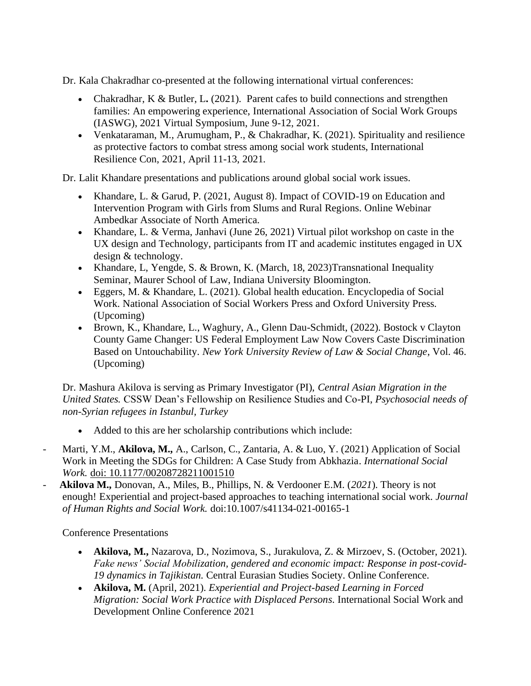Dr. Kala Chakradhar co-presented at the following international virtual conferences:

- Chakradhar, K & Butler, L. (2021). Parent cafes to build connections and strengthen families: An empowering experience, International Association of Social Work Groups (IASWG), 2021 Virtual Symposium, June 9-12, 2021.
- Venkataraman, M., Arumugham, P., & Chakradhar, K. (2021). Spirituality and resilience as protective factors to combat stress among social work students, International Resilience Con, 2021, April 11-13, 2021.

Dr. Lalit Khandare presentations and publications around global social work issues.

- Khandare, L. & Garud, P. (2021, August 8). Impact of COVID-19 on Education and Intervention Program with Girls from Slums and Rural Regions. Online Webinar Ambedkar Associate of North America.
- Khandare, L. & Verma, Janhavi (June 26, 2021) Virtual pilot workshop on caste in the UX design and Technology, participants from IT and academic institutes engaged in UX design & technology.
- Khandare, L, Yengde, S. & Brown, K. (March, 18, 2023)Transnational Inequality Seminar, Maurer School of Law, Indiana University Bloomington.
- Eggers, M. & Khandare, L. (2021). Global health education. Encyclopedia of Social Work. National Association of Social Workers Press and Oxford University Press. (Upcoming)
- Brown, K., Khandare, L., Waghury, A., Glenn Dau-Schmidt, (2022). Bostock v Clayton County Game Changer: US Federal Employment Law Now Covers Caste Discrimination Based on Untouchability. *New York University Review of Law & Social Change*, Vol. 46. (Upcoming)

Dr. Mashura Akilova is serving as Primary Investigator (PI), *Central Asian Migration in the United States.* CSSW Dean's Fellowship on Resilience Studies and Co-PI, *Psychosocial needs of non-Syrian refugees in Istanbul, Turkey*

- Added to this are her scholarship contributions which include:
- Marti, Y.M., **Akilova, M.,** A., Carlson, C., Zantaria, A. & Luo, Y. (2021) Application of Social Work in Meeting the SDGs for Children: A Case Study from Abkhazia. *International Social Work.* [doi: 10.1177/00208728211001510](https://doi.org/10.1177/00208728211001510)
- **Akilova M.,** Donovan, A., Miles, B., Phillips, N. & Verdooner E.M. (*2021*). Theory is not enough! Experiential and project-based approaches to teaching international social work. *Journal of Human Rights and Social Work.* doi:10.1007/s41134-021-00165-1

Conference Presentations

- **Akilova, M.,** Nazarova, D., Nozimova, S., Jurakulova, Z. & Mirzoev, S. (October, 2021). *Fake news' Social Mobilization, gendered and economic impact: Response in post-covid-19 dynamics in Tajikistan.* Central Eurasian Studies Society. Online Conference.
- **Akilova, M.** (April, 2021). *Experiential and Project-based Learning in Forced Migration: Social Work Practice with Displaced Persons*. International Social Work and Development Online Conference 2021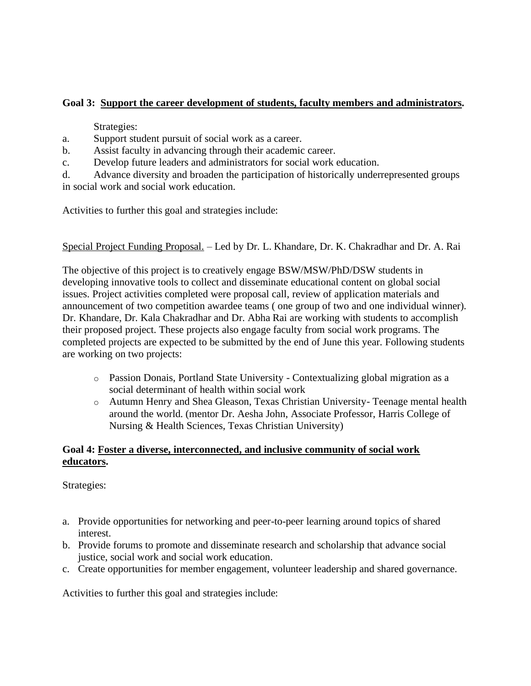# **Goal 3: [Support the career development of students, faculty members and](https://www.cswe.org/About-CSWE/2020-Strategic-Plan#Goal3) administrators.**

Strategies:

- a. Support student pursuit of social work as a career.
- b. Assist faculty in advancing through their academic career.
- c. Develop future leaders and administrators for social work education.

d. Advance diversity and broaden the participation of historically underrepresented groups in social work and social work education.

Activities to further this goal and strategies include:

## Special Project Funding Proposal. – Led by Dr. L. Khandare, Dr. K. Chakradhar and Dr. A. Rai

The objective of this project is to creatively engage BSW/MSW/PhD/DSW students in developing innovative tools to collect and disseminate educational content on global social issues. Project activities completed were proposal call, review of application materials and announcement of two competition awardee teams ( one group of two and one individual winner). Dr. Khandare, Dr. Kala Chakradhar and Dr. Abha Rai are working with students to accomplish their proposed project. These projects also engage faculty from social work programs. The completed projects are expected to be submitted by the end of June this year. Following students are working on two projects:

- o Passion Donais, Portland State University Contextualizing global migration as a social determinant of health within social work
- o Autumn Henry and Shea Gleason, Texas Christian University- Teenage mental health around the world. (mentor Dr. Aesha John, Associate Professor, Harris College of Nursing & Health Sciences, Texas Christian University)

# **Goal 4: [Foster a diverse, interconnected, and inclusive community of social work](https://www.cswe.org/About-CSWE/2020-Strategic-Plan#Goal4)  [educators.](https://www.cswe.org/About-CSWE/2020-Strategic-Plan#Goal4)**

Strategies:

- a. Provide opportunities for networking and peer-to-peer learning around topics of shared interest.
- b. Provide forums to promote and disseminate research and scholarship that advance social justice, social work and social work education.
- c. Create opportunities for member engagement, volunteer leadership and shared governance.

Activities to further this goal and strategies include: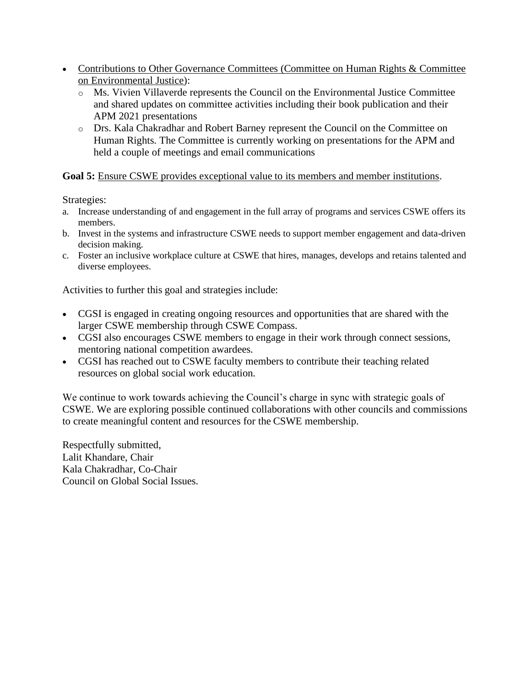- Contributions to Other Governance Committees (Committee on Human Rights & Committee on Environmental Justice):
	- o Ms. Vivien Villaverde represents the Council on the Environmental Justice Committee and shared updates on committee activities including their book publication and their APM 2021 presentations
	- o Drs. Kala Chakradhar and Robert Barney represent the Council on the Committee on Human Rights. The Committee is currently working on presentations for the APM and held a couple of meetings and email communications

### Goal 5: [Ensure CSWE provides exceptional value to its members and member institutions.](https://www.cswe.org/About-CSWE/2020-Strategic-Plan#Goal5)

Strategies:

- a. Increase understanding of and engagement in the full array of programs and services CSWE offers its members.
- b. Invest in the systems and infrastructure CSWE needs to support member engagement and data-driven decision making.
- c. Foster an inclusive workplace culture at CSWE that hires, manages, develops and retains talented and diverse employees.

Activities to further this goal and strategies include:

- CGSI is engaged in creating ongoing resources and opportunities that are shared with the larger CSWE membership through CSWE Compass.
- CGSI also encourages CSWE members to engage in their work through connect sessions, mentoring national competition awardees.
- CGSI has reached out to CSWE faculty members to contribute their teaching related resources on global social work education.

We continue to work towards achieving the Council's charge in sync with strategic goals of CSWE. We are exploring possible continued collaborations with other councils and commissions to create meaningful content and resources for the CSWE membership.

Respectfully submitted, Lalit Khandare, Chair Kala Chakradhar, Co-Chair Council on Global Social Issues.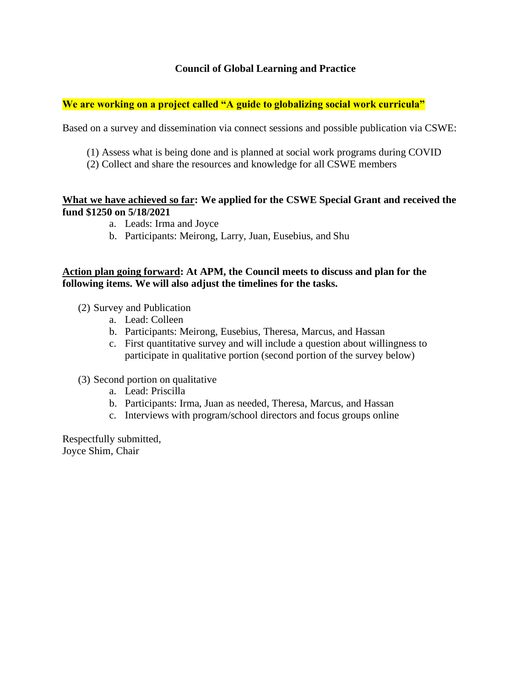## **Council of Global Learning and Practice**

#### **We are working on a project called "A guide to globalizing social work curricula"**

Based on a survey and dissemination via connect sessions and possible publication via CSWE:

- (1) Assess what is being done and is planned at social work programs during COVID
- (2) Collect and share the resources and knowledge for all CSWE members

#### **What we have achieved so far: We applied for the CSWE Special Grant and received the fund \$1250 on 5/18/2021**

- a. Leads: Irma and Joyce
- b. Participants: Meirong, Larry, Juan, Eusebius, and Shu

#### **Action plan going forward: At APM, the Council meets to discuss and plan for the following items. We will also adjust the timelines for the tasks.**

- (2) Survey and Publication
	- a. Lead: Colleen
	- b. Participants: Meirong, Eusebius, Theresa, Marcus, and Hassan
	- c. First quantitative survey and will include a question about willingness to participate in qualitative portion (second portion of the survey below)

#### (3) Second portion on qualitative

- a. Lead: Priscilla
- b. Participants: Irma, Juan as needed, Theresa, Marcus, and Hassan
- c. Interviews with program/school directors and focus groups online

Respectfully submitted, Joyce Shim, Chair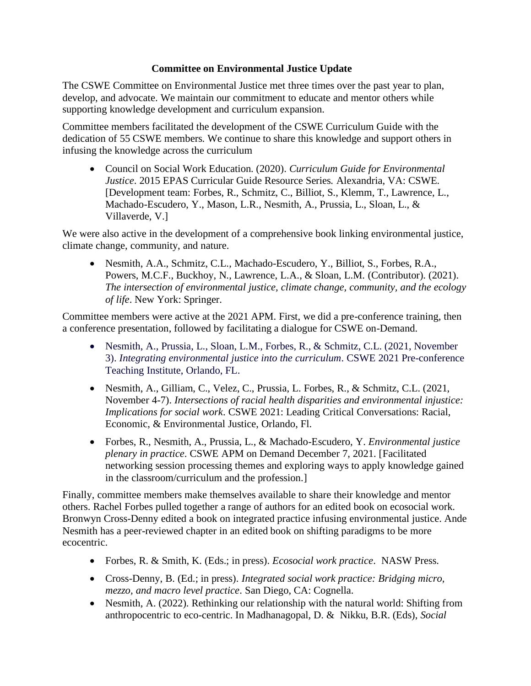# **Committee on Environmental Justice Update**

The CSWE Committee on Environmental Justice met three times over the past year to plan, develop, and advocate. We maintain our commitment to educate and mentor others while supporting knowledge development and curriculum expansion.

Committee members facilitated the development of the CSWE Curriculum Guide with the dedication of 55 CSWE members. We continue to share this knowledge and support others in infusing the knowledge across the curriculum

• Council on Social Work Education. (2020). *Curriculum Guide for Environmental Justice*. 2015 EPAS Curricular Guide Resource Series*.* Alexandria, VA: CSWE. [Development team: Forbes, R., Schmitz, C., Billiot, S., Klemm, T., Lawrence, L., Machado-Escudero, Y., Mason, L.R., Nesmith, A., Prussia, L., Sloan, L., & Villaverde, V.]

We were also active in the development of a comprehensive book linking environmental justice, climate change, community, and nature.

• Nesmith, A.A., Schmitz, C.L., Machado-Escudero, Y., Billiot, S., Forbes, R.A., Powers, M.C.F., Buckhoy, N., Lawrence, L.A., & Sloan, L.M. (Contributor). (2021). *The intersection of environmental justice, climate change, community, and the ecology of life*. New York: Springer.

Committee members were active at the 2021 APM. First, we did a pre-conference training, then a conference presentation, followed by facilitating a dialogue for CSWE on-Demand.

- Nesmith, A., Prussia, L., Sloan, L.M., Forbes, R., & Schmitz, C.L. (2021, November 3). *Integrating environmental justice into the curriculum*. CSWE 2021 Pre-conference Teaching Institute, Orlando, FL.
- Nesmith, A., Gilliam, C., Velez, C., Prussia, L. Forbes, R., & Schmitz, C.L. (2021, November 4-7). *Intersections of racial health disparities and environmental injustice: Implications for social work*. CSWE 2021: Leading Critical Conversations: Racial, Economic, & Environmental Justice, Orlando, Fl.
- Forbes, R., Nesmith, A., Prussia, L., & Machado-Escudero, Y. *Environmental justice plenary in practice*. CSWE APM on Demand December 7, 2021. [Facilitated networking session processing themes and exploring ways to apply knowledge gained in the classroom/curriculum and the profession.]

Finally, committee members make themselves available to share their knowledge and mentor others. Rachel Forbes pulled together a range of authors for an edited book on ecosocial work. Bronwyn Cross-Denny edited a book on integrated practice infusing environmental justice. Ande Nesmith has a peer-reviewed chapter in an edited book on shifting paradigms to be more ecocentric.

- Forbes, R. & Smith, K. (Eds.; in press). *Ecosocial work practice*. NASW Press.
- Cross-Denny, B. (Ed.; in press). *Integrated social work practice: Bridging micro, mezzo, and macro level practice*. San Diego, CA: Cognella.
- Nesmith, A. (2022). Rethinking our relationship with the natural world: Shifting from anthropocentric to eco-centric. In Madhanagopal, D. & Nikku, B.R. (Eds), *Social*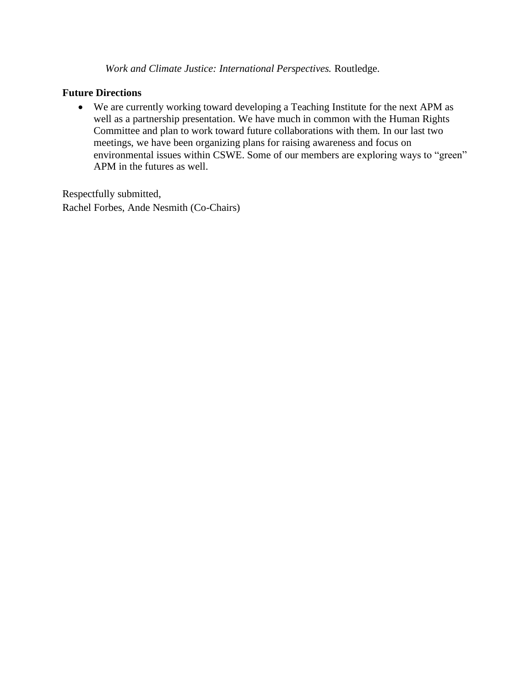*Work and Climate Justice: International Perspectives.* Routledge.

### **Future Directions**

• We are currently working toward developing a Teaching Institute for the next APM as well as a partnership presentation. We have much in common with the Human Rights Committee and plan to work toward future collaborations with them. In our last two meetings, we have been organizing plans for raising awareness and focus on environmental issues within CSWE. Some of our members are exploring ways to "green" APM in the futures as well.

Respectfully submitted, Rachel Forbes, Ande Nesmith (Co-Chairs)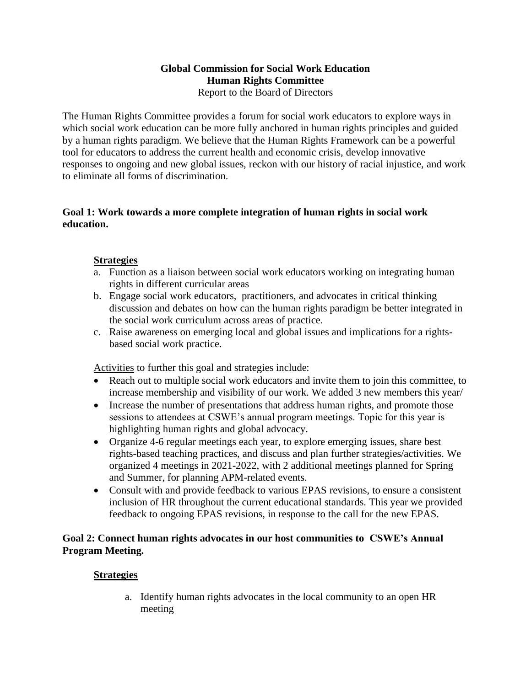### **Global Commission for Social Work Education Human Rights Committee** Report to the Board of Directors

The Human Rights Committee provides a forum for social work educators to explore ways in which social work education can be more fully anchored in human rights principles and guided by a human rights paradigm. We believe that the Human Rights Framework can be a powerful tool for educators to address the current health and economic crisis, develop innovative responses to ongoing and new global issues, reckon with our history of racial injustice, and work to eliminate all forms of discrimination.

### **Goal 1: Work towards a more complete integration of human rights in social work education.**

# **Strategies**

- a. Function as a liaison between social work educators working on integrating human rights in different curricular areas
- b. Engage social work educators, practitioners, and advocates in critical thinking discussion and debates on how can the human rights paradigm be better integrated in the social work curriculum across areas of practice.
- c. Raise awareness on emerging local and global issues and implications for a rightsbased social work practice.

Activities to further this goal and strategies include:

- Reach out to multiple social work educators and invite them to join this committee, to increase membership and visibility of our work. We added 3 new members this year/
- Increase the number of presentations that address human rights, and promote those sessions to attendees at CSWE's annual program meetings. Topic for this year is highlighting human rights and global advocacy.
- Organize 4-6 regular meetings each year, to explore emerging issues, share best rights-based teaching practices, and discuss and plan further strategies/activities. We organized 4 meetings in 2021-2022, with 2 additional meetings planned for Spring and Summer, for planning APM-related events.
- Consult with and provide feedback to various EPAS revisions, to ensure a consistent inclusion of HR throughout the current educational standards. This year we provided feedback to ongoing EPAS revisions, in response to the call for the new EPAS.

# **Goal 2: Connect human rights advocates in our host communities to CSWE's Annual Program Meeting.**

## **Strategies**

a. Identify human rights advocates in the local community to an open HR meeting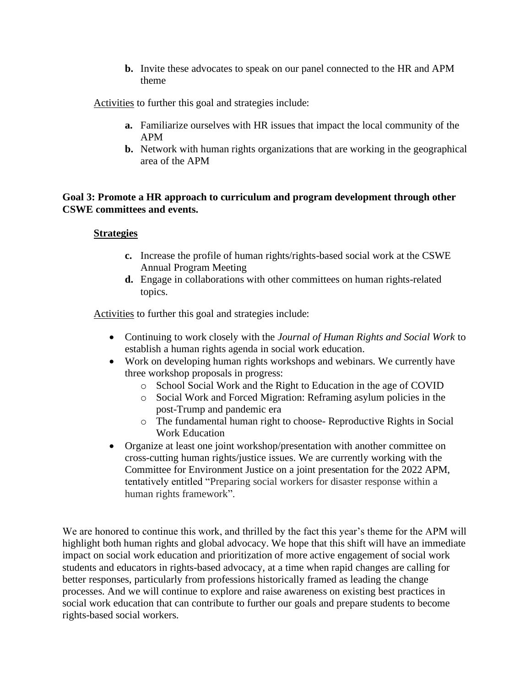**b.** Invite these advocates to speak on our panel connected to the HR and APM theme

Activities to further this goal and strategies include:

- **a.** Familiarize ourselves with HR issues that impact the local community of the APM
- **b.** Network with human rights organizations that are working in the geographical area of the APM

### **Goal 3: Promote a HR approach to curriculum and program development through other CSWE committees and events.**

#### **Strategies**

- **c.** Increase the profile of human rights/rights-based social work at the CSWE Annual Program Meeting
- **d.** Engage in collaborations with other committees on human rights-related topics.

Activities to further this goal and strategies include:

- Continuing to work closely with the *Journal of Human Rights and Social Work* to establish a human rights agenda in social work education.
- Work on developing human rights workshops and webinars. We currently have three workshop proposals in progress:
	- o School Social Work and the Right to Education in the age of COVID
	- o Social Work and Forced Migration: Reframing asylum policies in the post-Trump and pandemic era
	- o The fundamental human right to choose- Reproductive Rights in Social Work Education
- Organize at least one joint workshop/presentation with another committee on cross-cutting human rights/justice issues. We are currently working with the Committee for Environment Justice on a joint presentation for the 2022 APM, tentatively entitled "Preparing social workers for disaster response within a human rights framework".

We are honored to continue this work, and thrilled by the fact this year's theme for the APM will highlight both human rights and global advocacy. We hope that this shift will have an immediate impact on social work education and prioritization of more active engagement of social work students and educators in rights-based advocacy, at a time when rapid changes are calling for better responses, particularly from professions historically framed as leading the change processes. And we will continue to explore and raise awareness on existing best practices in social work education that can contribute to further our goals and prepare students to become rights-based social workers.